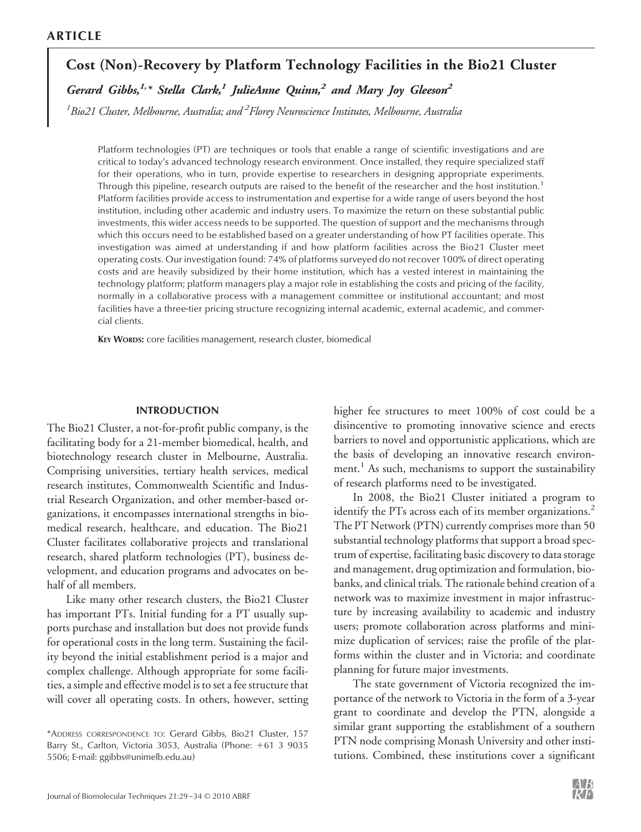# **Cost (Non)-Recovery by Platform Technology Facilities in the Bio21 Cluster**

*Gerard Gibbs,1,\* Stella Clark,1 JulieAnne Quinn,2 and Mary Joy Gleeson2*

*1 Bio21 Cluster, Melbourne, Australia; and <sup>2</sup> Florey Neuroscience Institutes, Melbourne, Australia*

Platform technologies (PT) are techniques or tools that enable a range of scientific investigations and are critical to today's advanced technology research environment. Once installed, they require specialized staff for their operations, who in turn, provide expertise to researchers in designing appropriate experiments. Through this pipeline, research outputs are raised to the benefit of the researcher and the host institution.<sup>1</sup> Platform facilities provide access to instrumentation and expertise for a wide range of users beyond the host institution, including other academic and industry users. To maximize the return on these substantial public investments, this wider access needs to be supported. The question of support and the mechanisms through which this occurs need to be established based on a greater understanding of how PT facilities operate. This investigation was aimed at understanding if and how platform facilities across the Bio21 Cluster meet operating costs. Our investigation found: 74% of platforms surveyed do not recover 100% of direct operating costs and are heavily subsidized by their home institution, which has a vested interest in maintaining the technology platform; platform managers play a major role in establishing the costs and pricing of the facility, normally in a collaborative process with a management committee or institutional accountant; and most facilities have a three-tier pricing structure recognizing internal academic, external academic, and commercial clients.

KEY WORDS: core facilities management, research cluster, biomedical

### INTRODUCTION

The Bio21 Cluster, a not-for-profit public company, is the facilitating body for a 21-member biomedical, health, and biotechnology research cluster in Melbourne, Australia. Comprising universities, tertiary health services, medical research institutes, Commonwealth Scientific and Industrial Research Organization, and other member-based organizations, it encompasses international strengths in biomedical research, healthcare, and education. The Bio21 Cluster facilitates collaborative projects and translational research, shared platform technologies (PT), business development, and education programs and advocates on behalf of all members.

Like many other research clusters, the Bio21 Cluster has important PTs. Initial funding for a PT usually supports purchase and installation but does not provide funds for operational costs in the long term. Sustaining the facility beyond the initial establishment period is a major and complex challenge. Although appropriate for some facilities, a simple and effective model is to set a fee structure that will cover all operating costs. In others, however, setting

\*ADDRESS CORRESPONDENCE TO: Gerard Gibbs, Bio21 Cluster, 157 Barry St., Carlton, Victoria 3053, Australia (Phone: +61 3 9035 5506; E-mail: ggibbs@unimelb.edu.au)

higher fee structures to meet 100% of cost could be a disincentive to promoting innovative science and erects barriers to novel and opportunistic applications, which are the basis of developing an innovative research environment.<sup>1</sup> As such, mechanisms to support the sustainability of research platforms need to be investigated.

In 2008, the Bio21 Cluster initiated a program to identify the PTs across each of its member organizations.<sup>2</sup> The PT Network (PTN) currently comprises more than 50 substantial technology platforms that support a broad spectrum of expertise, facilitating basic discovery to data storage and management, drug optimization and formulation, biobanks, and clinical trials. The rationale behind creation of a network was to maximize investment in major infrastructure by increasing availability to academic and industry users; promote collaboration across platforms and minimize duplication of services; raise the profile of the platforms within the cluster and in Victoria; and coordinate planning for future major investments.

The state government of Victoria recognized the importance of the network to Victoria in the form of a 3-year grant to coordinate and develop the PTN, alongside a similar grant supporting the establishment of a southern PTN node comprising Monash University and other institutions. Combined, these institutions cover a significant

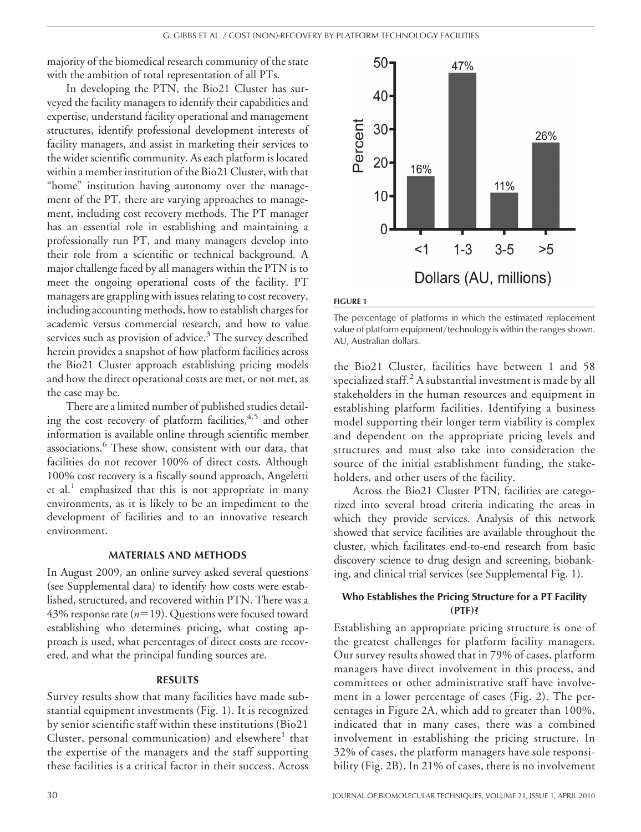majority of the biomedical research community of the state with the ambition of total representation of all PTs.

In developing the PTN, the Bio21 Cluster has surveyed the facility managers to identify their capabilities and expertise, understand facility operational and management structures, identify professional development interests of facility managers, and assist in marketing their services to the wider scientific community. As each platform is located within a member institution of the Bio21 Cluster, with that "home" institution having autonomy over the management of the PT, there are varying approaches to management, including cost recovery methods. The PT manager has an essential role in establishing and maintaining a professionally run PT, and many managers develop into their role from a scientific or technical background. A major challenge faced by all managers within the PTN is to meet the ongoing operational costs of the facility. PT managers are grappling with issues relating to cost recovery, including accounting methods, how to establish charges for academic versus commercial research, and how to value services such as provision of advice. $3$  The survey described herein provides a snapshot of how platform facilities across the Bio21 Cluster approach establishing pricing models and how the direct operational costs are met, or not met, as the case may be.

There are a limited number of published studies detailing the cost recovery of platform facilities,<sup>4,5</sup> and other information is available online through scientific member associations.<sup>6</sup> These show, consistent with our data, that facilities do not recover 100% of direct costs. Although 100% cost recovery is a fiscally sound approach, Angeletti et al.<sup>1</sup> emphasized that this is not appropriate in many environments, as it is likely to be an impediment to the development of facilities and to an innovative research environment.

## MATERIALS AND METHODS

In August 2009, an online survey asked several questions (see Supplemental data) to identify how costs were established, structured, and recovered within PTN. There was a 43% response rate (n=19). Questions were focused toward establishing who determines pricing, what costing approach is used, what percentages of direct costs are recovered, and what the principal funding sources are.

## RESULTS

Survey results show that many facilities have made substantial equipment investments (Fig. 1). It is recognized by senior scientific staff within these institutions (Bio21 Cluster, personal communication) and elsewhere<sup>1</sup> that the expertise of the managers and the staff supporting these facilities is a critical factor in their success. Across



#### FIGURE 1

The percentage of platforms in which the estimated replacement value of platform equipment/technology is within the ranges shown. AU, Australian dollars.

the Bio21 Cluster, facilities have between 1 and 58 specialized staff. $2$  A substantial investment is made by all stakeholders in the human resources and equipment in establishing platform facilities. Identifying a business model supporting their longer term viability is complex and dependent on the appropriate pricing levels and structures and must also take into consideration the source of the initial establishment funding, the stakeholders, and other users of the facility.

Across the Bio21 Cluster PTN, facilities are categorized into several broad criteria indicating the areas in which they provide services. Analysis of this network showed that service facilities are available throughout the cluster, which facilitates end-to-end research from basic discovery science to drug design and screening, biobanking, and clinical trial services (see Supplemental Fig. 1).

## Who Establishes the Pricing Structure for a PT Facility (PTF)?

Establishing an appropriate pricing structure is one of the greatest challenges for platform facility managers. Our survey results showed that in 79% of cases, platform managers have direct involvement in this process, and committees or other administrative staff have involvement in a lower percentage of cases (Fig. 2). The percentages in Figure 2A, which add to greater than 100%, indicated that in many cases, there was a combined involvement in establishing the pricing structure. In 32% of cases, the platform managers have sole responsibility (Fig. 2B). In 21% of cases, there is no involvement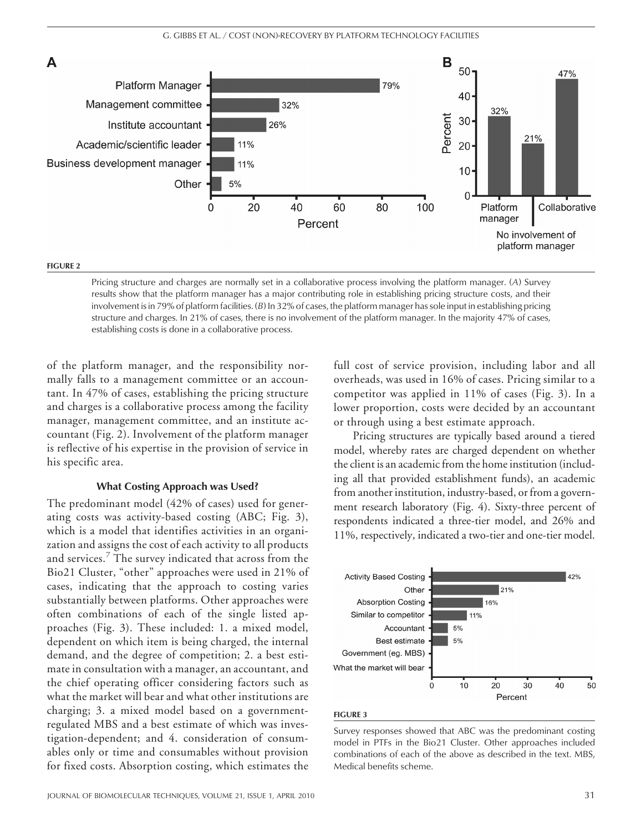

Pricing structure and charges are normally set in a collaborative process involving the platform manager. (*A*) Survey results show that the platform manager has a major contributing role in establishing pricing structure costs, and their involvement is in 79% of platform facilities. (*B*) In 32% of cases, the platform manager has sole input in establishing pricing structure and charges. In 21% of cases, there is no involvement of the platform manager. In the majority 47% of cases, establishing costs is done in a collaborative process.

of the platform manager, and the responsibility normally falls to a management committee or an accountant. In 47% of cases, establishing the pricing structure and charges is a collaborative process among the facility manager, management committee, and an institute accountant (Fig. 2). Involvement of the platform manager is reflective of his expertise in the provision of service in his specific area.

#### What Costing Approach was Used?

The predominant model (42% of cases) used for generating costs was activity-based costing (ABC; Fig. 3), which is a model that identifies activities in an organization and assigns the cost of each activity to all products and services.<sup>7</sup> The survey indicated that across from the Bio21 Cluster, "other" approaches were used in 21% of cases, indicating that the approach to costing varies substantially between platforms. Other approaches were often combinations of each of the single listed approaches (Fig. 3). These included: 1. a mixed model, dependent on which item is being charged, the internal demand, and the degree of competition; 2. a best estimate in consultation with a manager, an accountant, and the chief operating officer considering factors such as what the market will bear and what other institutions are charging; 3. a mixed model based on a governmentregulated MBS and a best estimate of which was investigation-dependent; and 4. consideration of consumables only or time and consumables without provision for fixed costs. Absorption costing, which estimates the full cost of service provision, including labor and all overheads, was used in 16% of cases. Pricing similar to a competitor was applied in 11% of cases (Fig. 3). In a lower proportion, costs were decided by an accountant or through using a best estimate approach.

Pricing structures are typically based around a tiered model, whereby rates are charged dependent on whether the client is an academic from the home institution (including all that provided establishment funds), an academic from another institution, industry-based, or from a government research laboratory (Fig. 4). Sixty-three percent of respondents indicated a three-tier model, and 26% and 11%, respectively, indicated a two-tier and one-tier model.



#### FIGURE 3

Survey responses showed that ABC was the predominant costing model in PTFs in the Bio21 Cluster. Other approaches included combinations of each of the above as described in the text. MBS, Medical benefits scheme.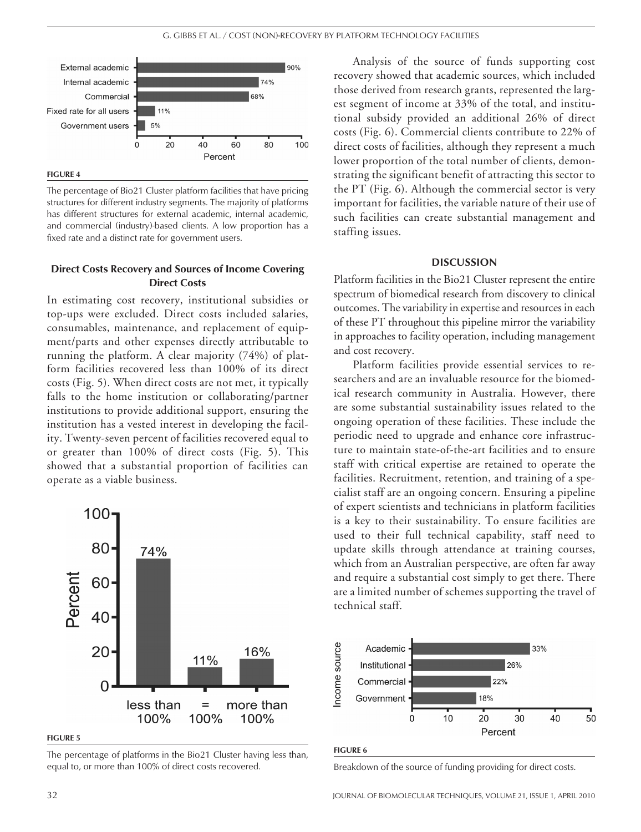

FIGURE 4

The percentage of Bio21 Cluster platform facilities that have pricing structures for different industry segments. The majority of platforms has different structures for external academic, internal academic, and commercial (industry)-based clients. A low proportion has a fixed rate and a distinct rate for government users.

## Direct Costs Recovery and Sources of Income Covering Direct Costs

In estimating cost recovery, institutional subsidies or top-ups were excluded. Direct costs included salaries, consumables, maintenance, and replacement of equipment/parts and other expenses directly attributable to running the platform. A clear majority (74%) of platform facilities recovered less than 100% of its direct costs (Fig. 5). When direct costs are not met, it typically falls to the home institution or collaborating/partner institutions to provide additional support, ensuring the institution has a vested interest in developing the facility. Twenty-seven percent of facilities recovered equal to or greater than 100% of direct costs (Fig. 5). This showed that a substantial proportion of facilities can operate as a viable business.



FIGURE 5

The percentage of platforms in the Bio21 Cluster having less than, equal to, or more than 100% of direct costs recovered.

Analysis of the source of funds supporting cost recovery showed that academic sources, which included those derived from research grants, represented the largest segment of income at 33% of the total, and institutional subsidy provided an additional 26% of direct costs (Fig. 6). Commercial clients contribute to 22% of direct costs of facilities, although they represent a much lower proportion of the total number of clients, demonstrating the significant benefit of attracting this sector to the PT (Fig. 6). Although the commercial sector is very important for facilities, the variable nature of their use of such facilities can create substantial management and staffing issues.

#### **DISCUSSION**

Platform facilities in the Bio21 Cluster represent the entire spectrum of biomedical research from discovery to clinical outcomes. The variability in expertise and resources in each of these PT throughout this pipeline mirror the variability in approaches to facility operation, including management and cost recovery.

Platform facilities provide essential services to researchers and are an invaluable resource for the biomedical research community in Australia. However, there are some substantial sustainability issues related to the ongoing operation of these facilities. These include the periodic need to upgrade and enhance core infrastructure to maintain state-of-the-art facilities and to ensure staff with critical expertise are retained to operate the facilities. Recruitment, retention, and training of a specialist staff are an ongoing concern. Ensuring a pipeline of expert scientists and technicians in platform facilities is a key to their sustainability. To ensure facilities are used to their full technical capability, staff need to update skills through attendance at training courses, which from an Australian perspective, are often far away and require a substantial cost simply to get there. There are a limited number of schemes supporting the travel of technical staff.



FIGURE 6

Breakdown of the source of funding providing for direct costs.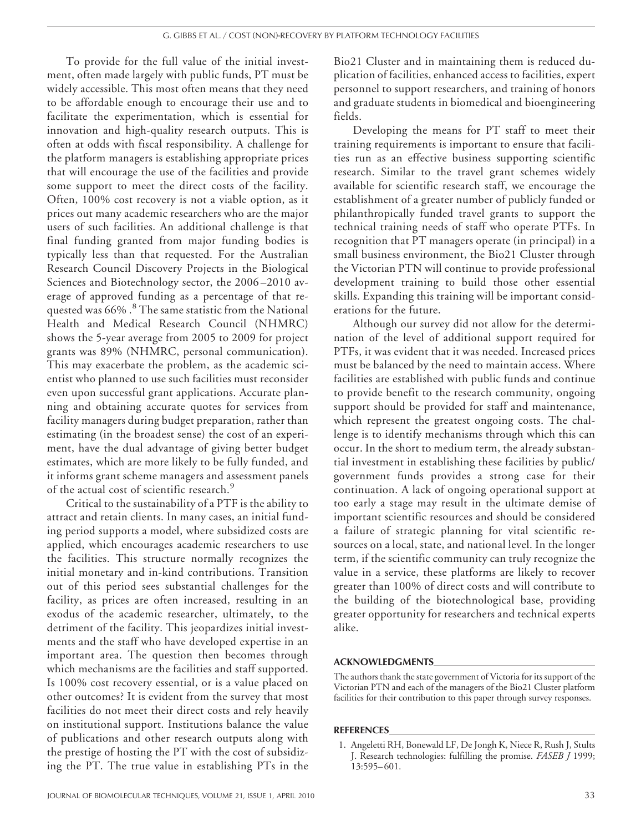To provide for the full value of the initial investment, often made largely with public funds, PT must be widely accessible. This most often means that they need to be affordable enough to encourage their use and to facilitate the experimentation, which is essential for innovation and high-quality research outputs. This is often at odds with fiscal responsibility. A challenge for the platform managers is establishing appropriate prices that will encourage the use of the facilities and provide some support to meet the direct costs of the facility. Often, 100% cost recovery is not a viable option, as it prices out many academic researchers who are the major users of such facilities. An additional challenge is that final funding granted from major funding bodies is typically less than that requested. For the Australian Research Council Discovery Projects in the Biological Sciences and Biotechnology sector, the 2006 –2010 average of approved funding as a percentage of that requested was 66% .<sup>8</sup> The same statistic from the National Health and Medical Research Council (NHMRC) shows the 5-year average from 2005 to 2009 for project grants was 89% (NHMRC, personal communication). This may exacerbate the problem, as the academic scientist who planned to use such facilities must reconsider even upon successful grant applications. Accurate planning and obtaining accurate quotes for services from facility managers during budget preparation, rather than estimating (in the broadest sense) the cost of an experiment, have the dual advantage of giving better budget estimates, which are more likely to be fully funded, and it informs grant scheme managers and assessment panels of the actual cost of scientific research.<sup>9</sup>

Critical to the sustainability of a PTF is the ability to attract and retain clients. In many cases, an initial funding period supports a model, where subsidized costs are applied, which encourages academic researchers to use the facilities. This structure normally recognizes the initial monetary and in-kind contributions. Transition out of this period sees substantial challenges for the facility, as prices are often increased, resulting in an exodus of the academic researcher, ultimately, to the detriment of the facility. This jeopardizes initial investments and the staff who have developed expertise in an important area. The question then becomes through which mechanisms are the facilities and staff supported. Is 100% cost recovery essential, or is a value placed on other outcomes? It is evident from the survey that most facilities do not meet their direct costs and rely heavily on institutional support. Institutions balance the value of publications and other research outputs along with the prestige of hosting the PT with the cost of subsidizing the PT. The true value in establishing PTs in the

Bio21 Cluster and in maintaining them is reduced duplication of facilities, enhanced access to facilities, expert personnel to support researchers, and training of honors and graduate students in biomedical and bioengineering fields.

Developing the means for PT staff to meet their training requirements is important to ensure that facilities run as an effective business supporting scientific research. Similar to the travel grant schemes widely available for scientific research staff, we encourage the establishment of a greater number of publicly funded or philanthropically funded travel grants to support the technical training needs of staff who operate PTFs. In recognition that PT managers operate (in principal) in a small business environment, the Bio21 Cluster through the Victorian PTN will continue to provide professional development training to build those other essential skills. Expanding this training will be important considerations for the future.

Although our survey did not allow for the determination of the level of additional support required for PTFs, it was evident that it was needed. Increased prices must be balanced by the need to maintain access. Where facilities are established with public funds and continue to provide benefit to the research community, ongoing support should be provided for staff and maintenance, which represent the greatest ongoing costs. The challenge is to identify mechanisms through which this can occur. In the short to medium term, the already substantial investment in establishing these facilities by public/ government funds provides a strong case for their continuation. A lack of ongoing operational support at too early a stage may result in the ultimate demise of important scientific resources and should be considered a failure of strategic planning for vital scientific resources on a local, state, and national level. In the longer term, if the scientific community can truly recognize the value in a service, these platforms are likely to recover greater than 100% of direct costs and will contribute to the building of the biotechnological base, providing greater opportunity for researchers and technical experts alike.

#### ACKNOWLEDGMENTS

The authors thank the state government of Victoria for its support of the Victorian PTN and each of the managers of the Bio21 Cluster platform facilities for their contribution to this paper through survey responses.

#### **REFERENCES**

<sup>1.</sup> Angeletti RH, Bonewald LF, De Jongh K, Niece R, Rush J, Stults J. Research technologies: fulfilling the promise. *FASEB J* 1999; 13:595– 601.